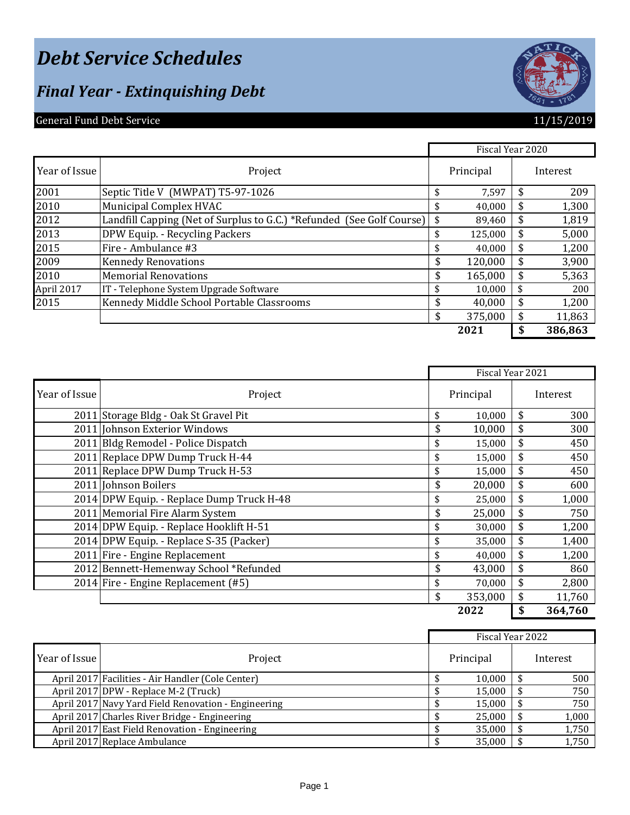# *Debt Service Schedules*

### *Final Year - Extinquishing Debt*

### General Fund Debt Service **11/15/2019**

| 765 |
|-----|
|-----|

|               |                                                                       | Fiscal Year 2020 |     |          |
|---------------|-----------------------------------------------------------------------|------------------|-----|----------|
| Year of Issue | Project                                                               | Principal        |     | Interest |
| 2001          | Septic Title V (MWPAT) T5-97-1026                                     | 7,597            |     | 209      |
| 2010          | Municipal Complex HVAC                                                | 40,000           | \$. | 1,300    |
| 2012          | Landfill Capping (Net of Surplus to G.C.) *Refunded (See Golf Course) | \$<br>89,460     | \$  | 1,819    |
| 2013          | DPW Equip. - Recycling Packers                                        | 125,000          |     | 5,000    |
| 2015          | Fire - Ambulance #3                                                   | 40,000           | \$  | 1,200    |
| 2009          | <b>Kennedy Renovations</b>                                            | \$<br>120,000    | \$  | 3,900    |
| 2010          | <b>Memorial Renovations</b>                                           | \$<br>165,000    | \$. | 5,363    |
| April 2017    | IT - Telephone System Upgrade Software                                | 10.000           | \$  | 200      |
| 2015          | Kennedy Middle School Portable Classrooms                             | \$<br>40,000     | \$  | 1,200    |
|               |                                                                       | \$<br>375,000    |     | 11,863   |
|               |                                                                       | 2021             |     | 386,863  |

|               |                                           | Fiscal Year 2021 |              |
|---------------|-------------------------------------------|------------------|--------------|
| Year of Issue | Project                                   | Principal        | Interest     |
|               | 2011 Storage Bldg - Oak St Gravel Pit     | \$<br>10,000     | \$<br>300    |
|               | 2011 Johnson Exterior Windows             | \$<br>10,000     | 300          |
|               | 2011 Bldg Remodel - Police Dispatch       | \$<br>15,000     | \$<br>450    |
|               | 2011 Replace DPW Dump Truck H-44          | \$<br>15,000     | \$<br>450    |
|               | 2011 Replace DPW Dump Truck H-53          | \$<br>15,000     | 450          |
|               | 2011 Johnson Boilers                      | \$<br>20,000     | \$<br>600    |
|               | 2014 DPW Equip. - Replace Dump Truck H-48 | \$<br>25,000     | \$<br>1,000  |
|               | 2011 Memorial Fire Alarm System           | \$<br>25,000     | \$<br>750    |
|               | 2014 DPW Equip. - Replace Hooklift H-51   | \$<br>30,000     | \$<br>1,200  |
|               | 2014 DPW Equip. - Replace S-35 (Packer)   | \$<br>35,000     | \$<br>1,400  |
|               | 2011 Fire - Engine Replacement            | \$<br>40,000     | \$<br>1,200  |
|               | 2012 Bennett-Hemenway School *Refunded    | \$<br>43,000     | \$<br>860    |
|               | 2014 Fire - Engine Replacement (#5)       | 70,000           | \$<br>2,800  |
|               |                                           | \$<br>353,000    | \$<br>11,760 |
|               |                                           | 2022             | 364,760      |

|               |                                                     | Fiscal Year 2022 |           |  |          |
|---------------|-----------------------------------------------------|------------------|-----------|--|----------|
| Year of Issue | Project                                             |                  | Principal |  | Interest |
|               | April 2017 Facilities - Air Handler (Cole Center)   |                  | 10,000    |  | 500      |
|               | April 2017 DPW - Replace M-2 (Truck)                |                  | 15,000    |  | 750      |
|               | April 2017 Navy Yard Field Renovation - Engineering |                  | 15,000    |  | 750      |
|               | April 2017 Charles River Bridge - Engineering       |                  | 25,000    |  | 1,000    |
|               | April 2017 East Field Renovation - Engineering      |                  | 35,000    |  | 1,750    |
|               | April 2017 Replace Ambulance                        |                  | 35,000    |  | 1,750    |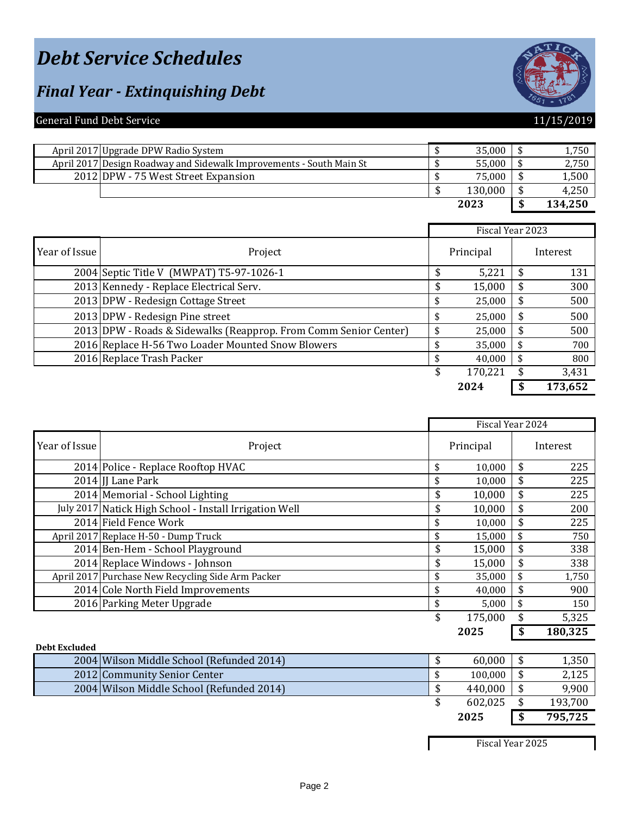# *Debt Service Schedules*

### *Final Year - Extinquishing Debt*



#### General Fund Debt Service 11/15/2019

| April 2017 Upgrade DPW Radio System                                 | 35,000  | 1,750   |
|---------------------------------------------------------------------|---------|---------|
| April 2017 Design Roadway and Sidewalk Improvements - South Main St | 55,000  | 2,750   |
| 2012 DPW - 75 West Street Expansion                                 | 75,000  | 1,500   |
|                                                                     | 130,000 | 4,250   |
|                                                                     | 2023    | 134,250 |

|               |                                                                  |   | Fiscal Year 2023 |  |          |
|---------------|------------------------------------------------------------------|---|------------------|--|----------|
| Year of Issue | Project                                                          |   | Principal        |  | Interest |
|               | 2004 Septic Title V (MWPAT) T5-97-1026-1                         |   | 5,221            |  | 131      |
|               | 2013 Kennedy - Replace Electrical Serv.                          |   | 15,000           |  | 300      |
|               | 2013 DPW - Redesign Cottage Street                               |   | 25,000           |  | 500      |
|               | 2013 DPW - Redesign Pine street                                  |   | 25,000           |  | 500      |
|               | 2013 DPW - Roads & Sidewalks (Reapprop. From Comm Senior Center) |   | 25,000           |  | 500      |
|               | 2016 Replace H-56 Two Loader Mounted Snow Blowers                |   | 35,000           |  | 700      |
|               | 2016 Replace Trash Packer                                        |   | 40,000           |  | 800      |
|               |                                                                  | S | 170,221          |  | 3,431    |
|               |                                                                  |   | 2024             |  | 173,652  |

|                      |                                                        |              | Fiscal Year 2024    |             |
|----------------------|--------------------------------------------------------|--------------|---------------------|-------------|
| Year of Issue        | Project                                                |              | Principal           | Interest    |
|                      | 2014 Police - Replace Rooftop HVAC                     | \$           | 10,000              | \$<br>225   |
|                      | 2014 JJ Lane Park                                      | \$           | 10,000              | 225         |
|                      | 2014 Memorial - School Lighting                        | \$           | 10,000              | 225         |
|                      | July 2017 Natick High School - Install Irrigation Well | \$           | 10,000              | 200         |
|                      | 2014 Field Fence Work                                  | \$           | 10,000              | 225         |
|                      | April 2017 Replace H-50 - Dump Truck                   | \$           | 15,000              | 750         |
|                      | 2014 Ben-Hem - School Playground                       | \$           | 15,000              | 338         |
|                      | 2014 Replace Windows - Johnson                         |              | 15,000              | 338         |
|                      | April 2017 Purchase New Recycling Side Arm Packer      |              | 35,000              | 1,750       |
|                      | 2014 Cole North Field Improvements                     |              | 40,000              | 900         |
|                      | 2016 Parking Meter Upgrade                             | \$           | 5,000               | 150         |
|                      |                                                        | \$           | 175,000             | 5,325       |
|                      |                                                        |              | 2025                | 180,325     |
| <b>Debt Excluded</b> |                                                        |              |                     |             |
|                      | 2004 Wilson Middle School (Refunded 2014)              | \$           | 60,000              | 1,350       |
|                      | $20420$ $\alpha$ $\alpha$ $\beta$ $\beta$ $\beta$      | $\mathbf{H}$ | $100000$ $\uparrow$ | <b>010F</b> |

| 200 ITHROIL PHAMIC DEHOOI THEIMHACA 201 I | <b>00.000</b> | 1,000   |
|-------------------------------------------|---------------|---------|
| 2012 Community Senior Center              | 100.000       | 2,125   |
| 2004 Wilson Middle School (Refunded 2014) | 440,000       | 9,900   |
|                                           | 602,025       | 193,700 |
|                                           | 2025          | 795,725 |

Fiscal Year 2025